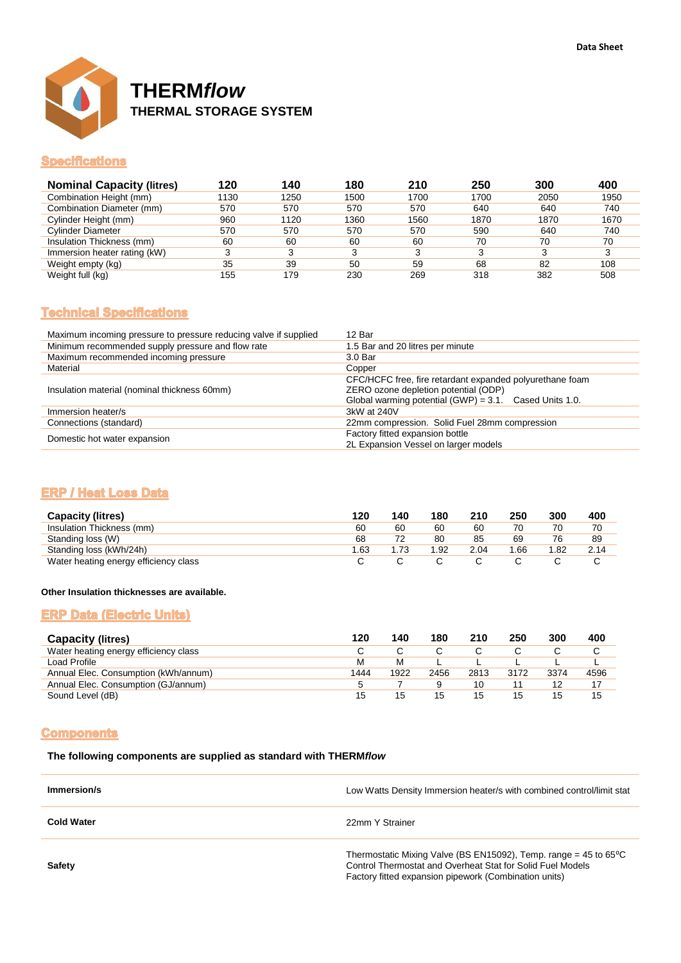

### **Specifications**

| <b>Nominal Capacity (litres)</b> | 120  | 140  | 180  | 210  | 250  | 300  | 400  |
|----------------------------------|------|------|------|------|------|------|------|
| Combination Height (mm)          | 1130 | 1250 | 1500 | 1700 | 1700 | 2050 | 1950 |
| Combination Diameter (mm)        | 570  | 570  | 570  | 570  | 640  | 640  | 740  |
| Cylinder Height (mm)             | 960  | 1120 | 1360 | 1560 | 1870 | 1870 | 1670 |
| <b>Cylinder Diameter</b>         | 570  | 570  | 570  | 570  | 590  | 640  | 740  |
| Insulation Thickness (mm)        | 60   | 60   | 60   | 60   | 70   | 70   | 70   |
| Immersion heater rating (kW)     |      |      |      |      | ົ    |      |      |
| Weight empty (kg)                | 35   | 39   | 50   | 59   | 68   | 82   | 108  |
| Weight full (kg)                 | 155  | 179  | 230  | 269  | 318  | 382  | 508  |

# **Technical Specifications**

| Maximum incoming pressure to pressure reducing valve if supplied | 12 Bar                                                                                           |  |  |  |  |  |
|------------------------------------------------------------------|--------------------------------------------------------------------------------------------------|--|--|--|--|--|
| Minimum recommended supply pressure and flow rate                | 1.5 Bar and 20 litres per minute                                                                 |  |  |  |  |  |
| Maximum recommended incoming pressure                            | 3.0 Bar                                                                                          |  |  |  |  |  |
| Material                                                         | Copper                                                                                           |  |  |  |  |  |
| Insulation material (nominal thickness 60mm)                     | CFC/HCFC free, fire retardant expanded polyurethane foam<br>ZERO ozone depletion potential (ODP) |  |  |  |  |  |
|                                                                  | Global warming potential $(GWP) = 3.1$ . Cased Units 1.0.                                        |  |  |  |  |  |
| Immersion heater/s                                               | 3kW at 240V                                                                                      |  |  |  |  |  |
| Connections (standard)                                           | 22mm compression. Solid Fuel 28mm compression                                                    |  |  |  |  |  |
| Domestic hot water expansion                                     | Factory fitted expansion bottle                                                                  |  |  |  |  |  |
|                                                                  | 2L Expansion Vessel on larger models                                                             |  |  |  |  |  |

## **ERP / Heat Loss Data**

| <b>Capacity (litres)</b>              | 120 | 140 | 180  | 210  | 250 | 300 | 400  |
|---------------------------------------|-----|-----|------|------|-----|-----|------|
| Insulation Thickness (mm)             | 60  | 60  | 60   | 60   | 70  |     | 70   |
| Standing loss (W)                     | 68  |     | 80   | 85   | 69  |     | 89   |
| Standing loss (kWh/24h)               | .63 | .73 | 1.92 | 2.04 | .66 | .82 | 2.14 |
| Water heating energy efficiency class |     |     |      |      |     |     |      |

#### **Other Insulation thicknesses are available.**

### **ERP Data (Electric Units)**

| <b>Capacity (litres)</b>              | 120  | 140  | 180  | 210  | 250  | 300  | 400  |
|---------------------------------------|------|------|------|------|------|------|------|
| Water heating energy efficiency class |      |      |      |      |      |      |      |
| Load Profile                          | М    | м    |      |      |      |      |      |
| Annual Elec. Consumption (kWh/annum)  | 1444 | 1922 | 2456 | 2813 | 3172 | 3374 | 4596 |
| Annual Elec. Consumption (GJ/annum)   |      |      | 9    | 10   |      |      |      |
| Sound Level (dB)                      | 15   | 15   | 15   | 15   | 15   |      | 15   |

### **Components**

### **The following components are supplied as standard with THERM***flow*

| Immersion/s       | Low Watts Density Immersion heater/s with combined control/limit stat                                                                                                                             |
|-------------------|---------------------------------------------------------------------------------------------------------------------------------------------------------------------------------------------------|
| <b>Cold Water</b> | 22mm Y Strainer                                                                                                                                                                                   |
| Safety            | Thermostatic Mixing Valve (BS EN15092), Temp. range = 45 to $65^{\circ}$ C<br>Control Thermostat and Overheat Stat for Solid Fuel Models<br>Factory fitted expansion pipework (Combination units) |